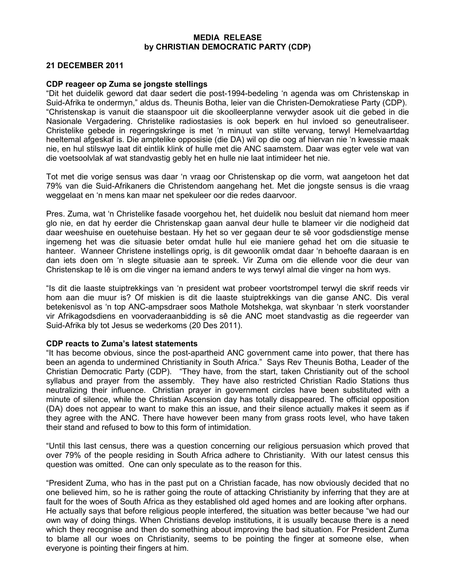## MEDIA RELEASE by CHRISTIAN DEMOCRATIC PARTY (CDP)

## 21 DECEMBER 2011

## CDP reageer op Zuma se jongste stellings

"Dit het duidelik geword dat daar sedert die post-1994-bedeling 'n agenda was om Christenskap in Suid-Afrika te ondermyn," aldus ds. Theunis Botha, leier van die Christen-Demokratiese Party (CDP). "Christenskap is vanuit die staanspoor uit die skoolleerplanne verwyder asook uit die gebed in die Nasionale Vergadering. Christelike radiostasies is ook beperk en hul invloed so geneutraliseer. Christelike gebede in regeringskringe is met 'n minuut van stilte vervang, terwyl Hemelvaartdag heeltemal afgeskaf is. Die amptelike opposisie (die DA) wil op die oog af hiervan nie 'n kwessie maak nie, en hul stilswye laat dit eintlik klink of hulle met die ANC saamstem. Daar was egter vele wat van die voetsoolvlak af wat standvastig gebly het en hulle nie laat intimideer het nie.

Tot met die vorige sensus was daar 'n vraag oor Christenskap op die vorm, wat aangetoon het dat 79% van die Suid-Afrikaners die Christendom aangehang het. Met die jongste sensus is die vraag weggelaat en 'n mens kan maar net spekuleer oor die redes daarvoor.

Pres. Zuma, wat 'n Christelike fasade voorgehou het, het duidelik nou besluit dat niemand hom meer glo nie, en dat hy eerder die Christenskap gaan aanval deur hulle te blameer vir die nodigheid dat daar weeshuise en ouetehuise bestaan. Hy het so ver gegaan deur te sê voor godsdienstige mense ingemeng het was die situasie beter omdat hulle hul eie maniere gehad het om die situasie te hanteer. Wanneer Christene instellings oprig, is dit gewoonlik omdat daar 'n behoefte daaraan is en dan iets doen om 'n slegte situasie aan te spreek. Vir Zuma om die ellende voor die deur van Christenskap te lê is om die vinger na iemand anders te wys terwyl almal die vinger na hom wys.

"Is dit die laaste stuiptrekkings van 'n president wat probeer voortstrompel terwyl die skrif reeds vir hom aan die muur is? Of miskien is dit die laaste stuiptrekkings van die ganse ANC. Dis veral betekenisvol as 'n top ANC-ampsdraer soos Mathole Motshekga, wat skynbaar 'n sterk voorstander vir Afrikagodsdiens en voorvaderaanbidding is sê die ANC moet standvastig as die regeerder van Suid-Afrika bly tot Jesus se wederkoms (20 Des 2011).

## CDP reacts to Zuma's latest statements

"It has become obvious, since the post-apartheid ANC government came into power, that there has been an agenda to undermined Christianity in South Africa." Says Rev Theunis Botha, Leader of the Christian Democratic Party (CDP). "They have, from the start, taken Christianity out of the school syllabus and prayer from the assembly. They have also restricted Christian Radio Stations thus neutralizing their influence. Christian prayer in government circles have been substituted with a minute of silence, while the Christian Ascension day has totally disappeared. The official opposition (DA) does not appear to want to make this an issue, and their silence actually makes it seem as if they agree with the ANC. There have however been many from grass roots level, who have taken their stand and refused to bow to this form of intimidation.

"Until this last census, there was a question concerning our religious persuasion which proved that over 79% of the people residing in South Africa adhere to Christianity. With our latest census this question was omitted. One can only speculate as to the reason for this.

"President Zuma, who has in the past put on a Christian facade, has now obviously decided that no one believed him, so he is rather going the route of attacking Christianity by inferring that they are at fault for the woes of South Africa as they established old aged homes and are looking after orphans. He actually says that before religious people interfered, the situation was better because "we had our own way of doing things. When Christians develop institutions, it is usually because there is a need which they recognise and then do something about improving the bad situation. For President Zuma to blame all our woes on Christianity, seems to be pointing the finger at someone else, when everyone is pointing their fingers at him.